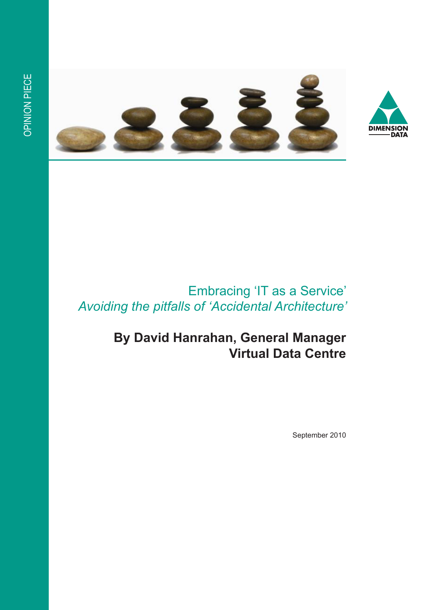



## Embracing 'IT as a Service' *Avoiding the pitfalls of 'Accidental Architecture'*

# **By David Hanrahan, General Manager Virtual Data Centre**

September 2010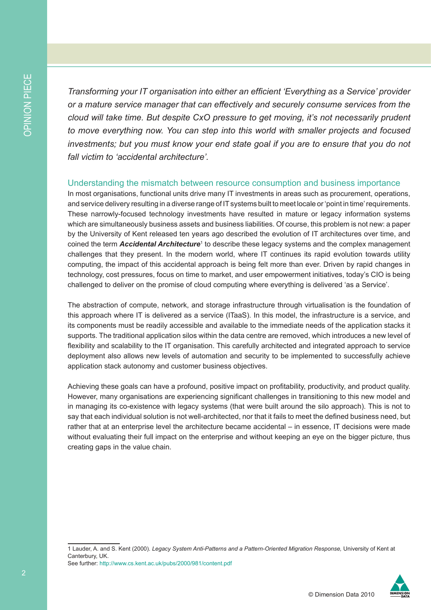*Transforming your IT organisation into either an efficient 'Everything as a Service' provider or a mature service manager that can effectively and securely consume services from the cloud will take time. But despite CxO pressure to get moving, it's not necessarily prudent to move everything now. You can step into this world with smaller projects and focused investments; but you must know your end state goal if you are to ensure that you do not fall victim to 'accidental architecture'.* 

#### Understanding the mismatch between resource consumption and business importance

In most organisations, functional units drive many IT investments in areas such as procurement, operations, and service delivery resulting in a diverse range of IT systems built to meet locale or 'point in time' requirements. These narrowly-focused technology investments have resulted in mature or legacy information systems which are simultaneously business assets and business liabilities. Of course, this problem is not new: a paper by the University of Kent released ten years ago described the evolution of IT architectures over time, and coined the term Accidental Architecture<sup>1</sup> to describe these legacy systems and the complex management challenges that they present. In the modern world, where IT continues its rapid evolution towards utility computing, the impact of this accidental approach is being felt more than ever. Driven by rapid changes in technology, cost pressures, focus on time to market, and user empowerment initiatives, today's CIO is being challenged to deliver on the promise of cloud computing where everything is delivered 'as a Service'.

The abstraction of compute, network, and storage infrastructure through virtualisation is the foundation of this approach where IT is delivered as a service (ITaaS). In this model, the infrastructure is a service, and its components must be readily accessible and available to the immediate needs of the application stacks it supports. The traditional application silos within the data centre are removed, which introduces a new level of flexibility and scalability to the IT organisation. This carefully architected and integrated approach to service deployment also allows new levels of automation and security to be implemented to successfully achieve application stack autonomy and customer business objectives.

Achieving these goals can have a profound, positive impact on profitability, productivity, and product quality. However, many organisations are experiencing significant challenges in transitioning to this new model and in managing its co-existence with legacy systems (that were built around the silo approach). This is not to say that each individual solution is not well-architected, nor that it fails to meet the defined business need, but rather that at an enterprise level the architecture became accidental – in essence, IT decisions were made without evaluating their full impact on the enterprise and without keeping an eye on the bigger picture, thus creating gaps in the value chain.

<sup>1</sup> Lauder, A. and S. Kent (2000). *Legacy System Anti-Patterns and a Pattern-Oriented Migration Response,* University of Kent at Canterbury, UK. See further: http://www.cs.kent.ac.uk/pubs/2000/981/content.pdf

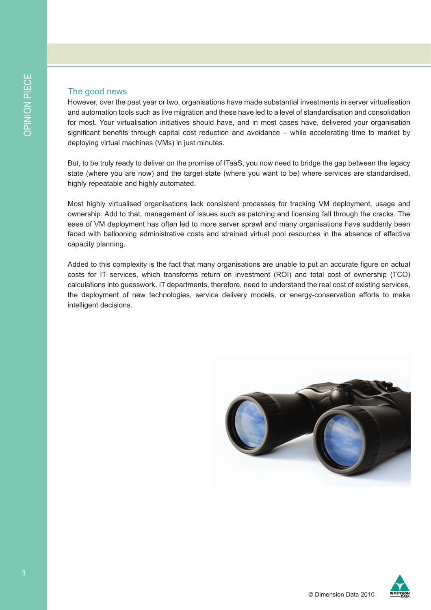#### The good news

However, over the past year or two, organisations have made substantial investments in server virtualisation and automation tools such as live migration and these have led to a level of standardisation and consolidation for most. Your virtualisation initiatives should have, and in most cases have, delivered your organisation significant benefits through capital cost reduction and avoidance – while accelerating time to market by deploying virtual machines (VMs) in just minutes.

But, to be truly ready to deliver on the promise of ITaaS, you now need to bridge the gap between the legacy state (where you are now) and the target state (where you want to be) where services are standardised, highly repeatable and highly automated.

Most highly virtualised organisations lack consistent processes for tracking VM deployment, usage and ownership. Add to that, management of issues such as patching and licensing fall through the cracks. The ease of VM deployment has often led to more server sprawl and many organisations have suddenly been faced with ballooning administrative costs and strained virtual pool resources in the absence of effective capacity planning.

Added to this complexity is the fact that many organisations are unable to put an accurate figure on actual costs for IT services, which transforms return on investment (ROI) and total cost of ownership (TCO) calculations into guesswork. IT departments, therefore, need to understand the real cost of existing services, the deployment of new technologies, service delivery models, or energy-conservation efforts to make intelligent decisions.



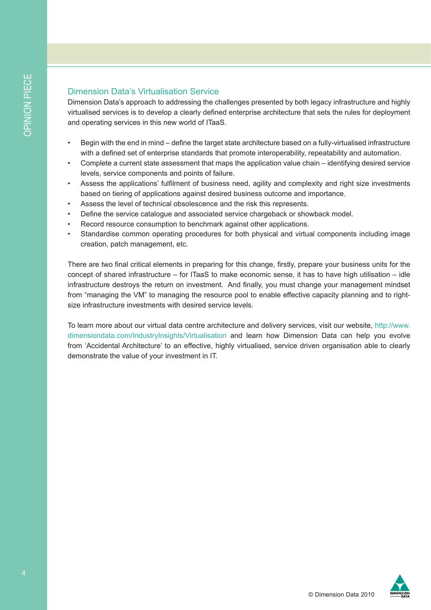### Dimension Data's Virtualisation Service

Dimension Data's approach to addressing the challenges presented by both legacy infrastructure and highly virtualised services is to develop a clearly defined enterprise architecture that sets the rules for deployment and operating services in this new world of ITaaS.

- Begin with the end in mind define the target state architecture based on a fully-virtualised infrastructure with a defined set of enterprise standards that promote interoperability, repeatability and automation.
- Complete a current state assessment that maps the application value chain identifying desired service levels, service components and points of failure.
- Assess the applications' fulfilment of business need, agility and complexity and right size investments based on tiering of applications against desired business outcome and importance.
- Assess the level of technical obsolescence and the risk this represents.
- Define the service catalogue and associated service chargeback or showback model.
- Record resource consumption to benchmark against other applications.
- Standardise common operating procedures for both physical and virtual components including image creation, patch management, etc.

There are two final critical elements in preparing for this change, firstly, prepare your business units for the concept of shared infrastructure – for ITaaS to make economic sense, it has to have high utilisation – idle infrastructure destroys the return on investment. And finally, you must change your management mindset from "managing the VM" to managing the resource pool to enable effective capacity planning and to rightsize infrastructure investments with desired service levels.

To learn more about our virtual data centre architecture and delivery services, visit our website, http://www. dimensiondata.com/IndustryInsights/Virtualisation and learn how Dimension Data can help you evolve from 'Accidental Architecture' to an effective, highly virtualised, service driven organisation able to clearly demonstrate the value of your investment in IT.

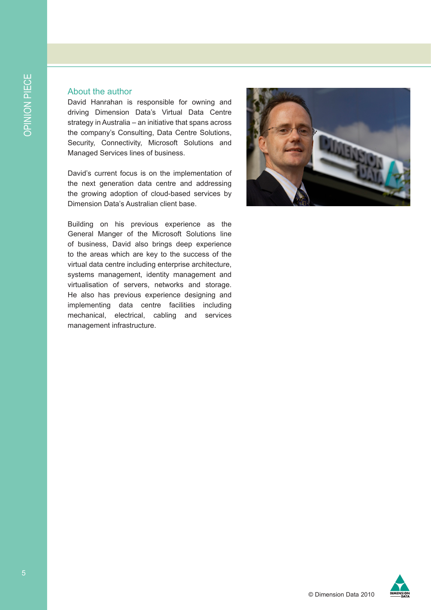#### About the author

David Hanrahan is responsible for owning and driving Dimension Data's Virtual Data Centre strategy in Australia – an initiative that spans across the company's Consulting, Data Centre Solutions, Security, Connectivity, Microsoft Solutions and Managed Services lines of business.

David's current focus is on the implementation of the next generation data centre and addressing the growing adoption of cloud-based services by Dimension Data's Australian client base.

Building on his previous experience as the General Manger of the Microsoft Solutions line of business, David also brings deep experience to the areas which are key to the success of the virtual data centre including enterprise architecture, systems management, identity management and virtualisation of servers, networks and storage. He also has previous experience designing and implementing data centre facilities including mechanical, electrical, cabling and services management infrastructure.